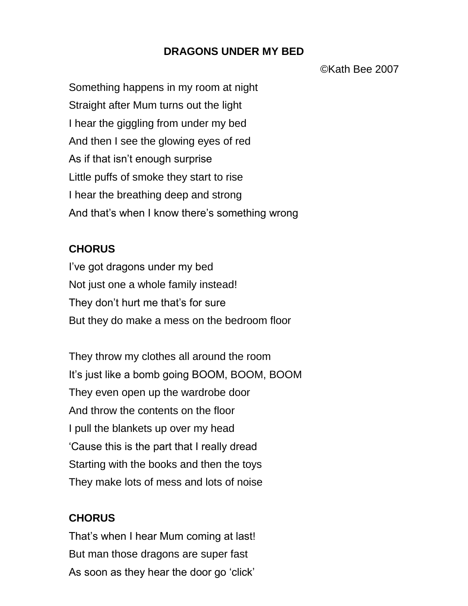## **DRAGONS UNDER MY BED**

©Kath Bee 2007

Something happens in my room at night Straight after Mum turns out the light I hear the giggling from under my bed And then I see the glowing eyes of red As if that isn't enough surprise Little puffs of smoke they start to rise I hear the breathing deep and strong And that's when I know there's something wrong

## **CHORUS**

I've got dragons under my bed Not just one a whole family instead! They don't hurt me that's for sure But they do make a mess on the bedroom floor

They throw my clothes all around the room It's just like a bomb going BOOM, BOOM, BOOM They even open up the wardrobe door And throw the contents on the floor I pull the blankets up over my head 'Cause this is the part that I really dread Starting with the books and then the toys They make lots of mess and lots of noise

## **CHORUS**

That's when I hear Mum coming at last! But man those dragons are super fast As soon as they hear the door go 'click'